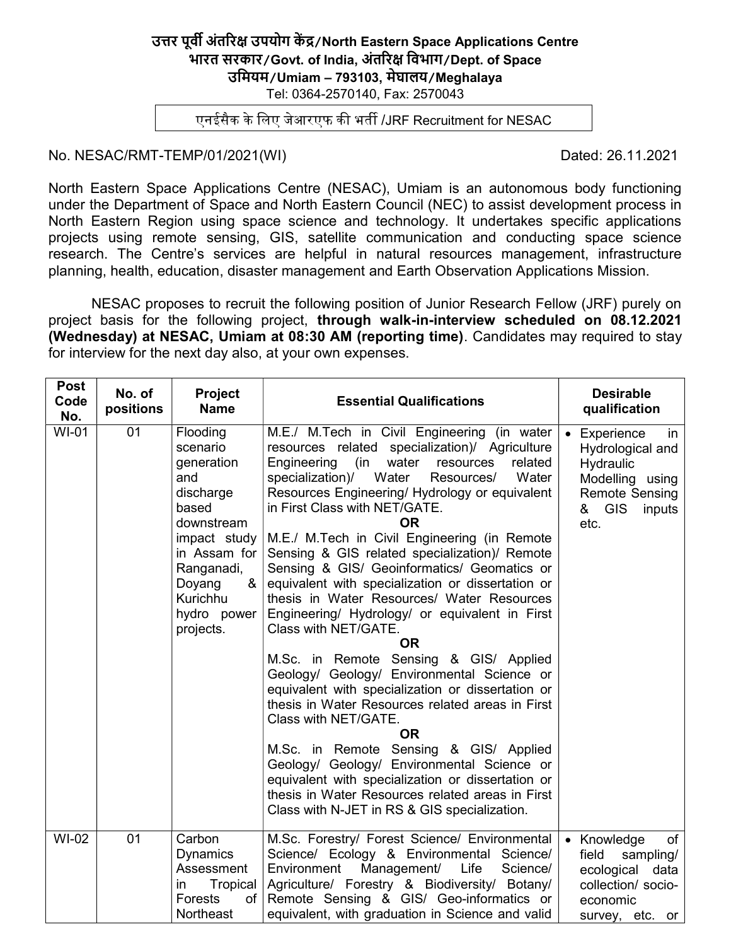#### उत्तर पूर्वी अंतरिक्ष उपयोग केंद्र/North Eastern Space Applications Centre भारत सरकार/Govt. of India, अंतरिक्ष विभाग/Dept. of Space उिमयम/Umiam – 793103, मेघालय/Meghalaya Tel: 0364-2570140, Fax: 2570043

एनईसैक के लिए जेआरएफ की भर्ती /JRF Recruitment for NESAC

#### No. NESAC/RMT-TEMP/01/2021(WI) Dated: 26.11.2021

North Eastern Space Applications Centre (NESAC), Umiam is an autonomous body functioning under the Department of Space and North Eastern Council (NEC) to assist development process in North Eastern Region using space science and technology. It undertakes specific applications projects using remote sensing, GIS, satellite communication and conducting space science research. The Centre's services are helpful in natural resources management, infrastructure planning, health, education, disaster management and Earth Observation Applications Mission.

NESAC proposes to recruit the following position of Junior Research Fellow (JRF) purely on project basis for the following project, through walk-in-interview scheduled on 08.12.2021 (Wednesday) at NESAC, Umiam at 08:30 AM (reporting time). Candidates may required to stay for interview for the next day also, at your own expenses.

| <b>Post</b><br>Code<br>No. | No. of<br>positions | <b>Project</b><br><b>Name</b>                                                                                                                                                      | <b>Essential Qualifications</b>                                                                                                                                                                                                                                                                                                                                                                                                                                                                                                                                                                                                                                                                                                                                                                                                                                                                                                                                                                                                                                                                                                           | <b>Desirable</b><br>qualification                                                                                        |
|----------------------------|---------------------|------------------------------------------------------------------------------------------------------------------------------------------------------------------------------------|-------------------------------------------------------------------------------------------------------------------------------------------------------------------------------------------------------------------------------------------------------------------------------------------------------------------------------------------------------------------------------------------------------------------------------------------------------------------------------------------------------------------------------------------------------------------------------------------------------------------------------------------------------------------------------------------------------------------------------------------------------------------------------------------------------------------------------------------------------------------------------------------------------------------------------------------------------------------------------------------------------------------------------------------------------------------------------------------------------------------------------------------|--------------------------------------------------------------------------------------------------------------------------|
| <b>WI-01</b>               | 01                  | Flooding<br>scenario<br>generation<br>and<br>discharge<br>based<br>downstream<br>impact study<br>in Assam for<br>Ranganadi,<br>&<br>Doyang<br>Kurichhu<br>hydro power<br>projects. | M.E./ M.Tech in Civil Engineering (in water<br>resources related specialization)/ Agriculture<br>Engineering<br>(in<br>water<br>resources<br>related<br>specialization)/<br>Water<br>Water<br>Resources/<br>Resources Engineering/ Hydrology or equivalent<br>in First Class with NET/GATE.<br><b>OR</b><br>M.E./ M.Tech in Civil Engineering (in Remote<br>Sensing & GIS related specialization)/ Remote<br>Sensing & GIS/ Geoinformatics/ Geomatics or<br>equivalent with specialization or dissertation or<br>thesis in Water Resources/ Water Resources<br>Engineering/ Hydrology/ or equivalent in First<br>Class with NET/GATE.<br><b>OR</b><br>M.Sc. in Remote Sensing & GIS/ Applied<br>Geology/ Geology/ Environmental Science or<br>equivalent with specialization or dissertation or<br>thesis in Water Resources related areas in First<br>Class with NET/GATE.<br><b>OR</b><br>M.Sc. in Remote Sensing & GIS/ Applied<br>Geology/ Geology/ Environmental Science or<br>equivalent with specialization or dissertation or<br>thesis in Water Resources related areas in First<br>Class with N-JET in RS & GIS specialization. | Experience<br>in<br>Hydrological and<br>Hydraulic<br>Modelling using<br><b>Remote Sensing</b><br>& GIS<br>inputs<br>etc. |
| WI-02                      | 01                  | Carbon<br><b>Dynamics</b><br>Assessment<br>Tropical<br>in<br><b>Forests</b><br>of<br><b>Northeast</b>                                                                              | M.Sc. Forestry/ Forest Science/ Environmental<br>Science/ Ecology & Environmental Science/<br>Management/<br>Environment<br>Life<br>Science/<br>Agriculture/ Forestry & Biodiversity/ Botany/<br>Remote Sensing & GIS/ Geo-informatics or<br>equivalent, with graduation in Science and valid                                                                                                                                                                                                                                                                                                                                                                                                                                                                                                                                                                                                                                                                                                                                                                                                                                             | of<br>• Knowledge<br>field<br>sampling/<br>ecological<br>data<br>collection/ socio-<br>economic<br>survey, etc. or       |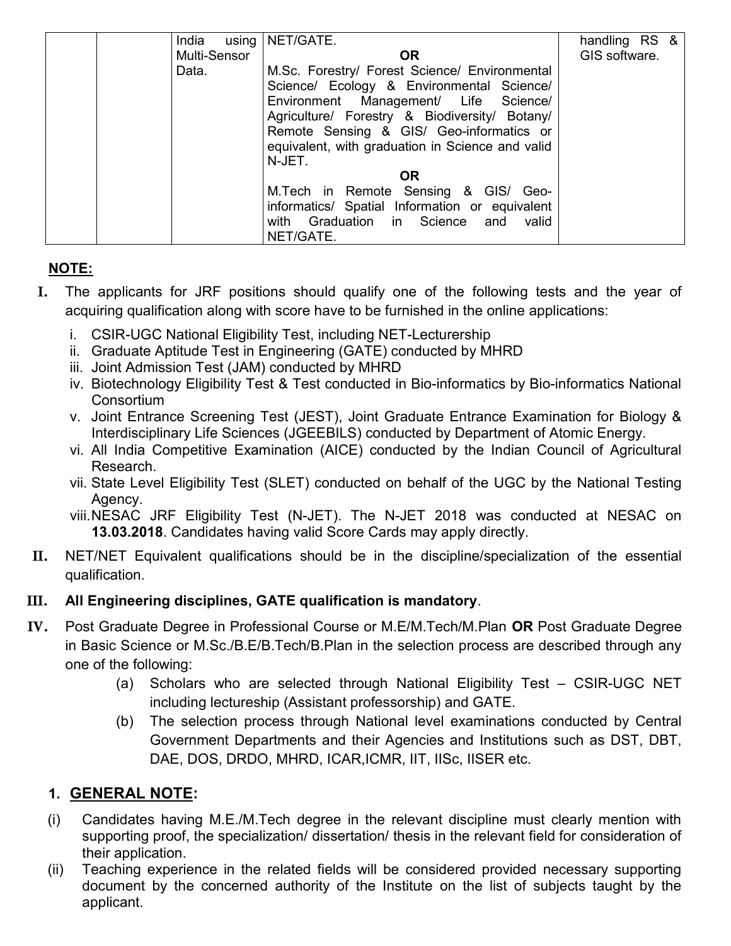| India        | using   NET/GATE.                                                                                                                                                                                                                                                                              | handling RS & |
|--------------|------------------------------------------------------------------------------------------------------------------------------------------------------------------------------------------------------------------------------------------------------------------------------------------------|---------------|
| Multi-Sensor | <b>OR</b>                                                                                                                                                                                                                                                                                      | GIS software. |
| Data.        | M.Sc. Forestry/ Forest Science/ Environmental<br>Science/ Ecology & Environmental Science/<br>Environment Management/ Life Science/<br>Agriculture/ Forestry & Biodiversity/ Botany/<br>Remote Sensing & GIS/ Geo-informatics or<br>equivalent, with graduation in Science and valid<br>N-JET. |               |
|              | <b>OR</b>                                                                                                                                                                                                                                                                                      |               |
|              | M.Tech in Remote Sensing & GIS/ Geo-<br>informatics/ Spatial Information or equivalent<br>with Graduation in Science and<br>valid<br>NET/GATE.                                                                                                                                                 |               |

# NOTE:

- I. The applicants for JRF positions should qualify one of the following tests and the year of acquiring qualification along with score have to be furnished in the online applications:
	- i. CSIR-UGC National Eligibility Test, including NET-Lecturership
	- ii. Graduate Aptitude Test in Engineering (GATE) conducted by MHRD
	- iii. Joint Admission Test (JAM) conducted by MHRD
	- iv. Biotechnology Eligibility Test & Test conducted in Bio-informatics by Bio-informatics National **Consortium**
	- v. Joint Entrance Screening Test (JEST), Joint Graduate Entrance Examination for Biology & Interdisciplinary Life Sciences (JGEEBILS) conducted by Department of Atomic Energy.
	- vi. All India Competitive Examination (AICE) conducted by the Indian Council of Agricultural Research.
	- vii. State Level Eligibility Test (SLET) conducted on behalf of the UGC by the National Testing Agency.
	- viii. NESAC JRF Eligibility Test (N-JET). The N-JET 2018 was conducted at NESAC on 13.03.2018. Candidates having valid Score Cards may apply directly.
- II. NET/NET Equivalent qualifications should be in the discipline/specialization of the essential qualification.

## III. All Engineering disciplines, GATE qualification is mandatory.

- IV. Post Graduate Degree in Professional Course or M.E/M.Tech/M.Plan OR Post Graduate Degree in Basic Science or M.Sc./B.E/B.Tech/B.Plan in the selection process are described through any one of the following:
	- (a) Scholars who are selected through National Eligibility Test CSIR-UGC NET including lectureship (Assistant professorship) and GATE.
	- (b) The selection process through National level examinations conducted by Central Government Departments and their Agencies and Institutions such as DST, DBT, DAE, DOS, DRDO, MHRD, ICAR,ICMR, IIT, IISc, IISER etc.

# 1. GENERAL NOTE:

- (i) Candidates having M.E./M.Tech degree in the relevant discipline must clearly mention with supporting proof, the specialization/ dissertation/ thesis in the relevant field for consideration of their application.
- (ii) Teaching experience in the related fields will be considered provided necessary supporting document by the concerned authority of the Institute on the list of subjects taught by the applicant.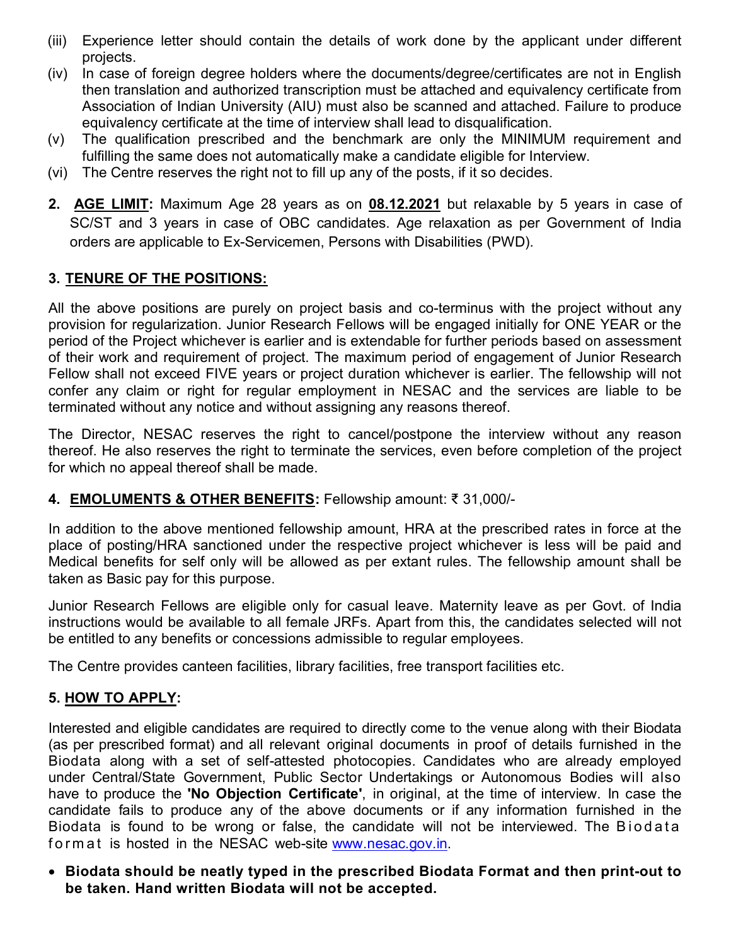- (iii) Experience letter should contain the details of work done by the applicant under different projects.
- (iv) In case of foreign degree holders where the documents/degree/certificates are not in English then translation and authorized transcription must be attached and equivalency certificate from Association of Indian University (AIU) must also be scanned and attached. Failure to produce equivalency certificate at the time of interview shall lead to disqualification.
- (v) The qualification prescribed and the benchmark are only the MINIMUM requirement and fulfilling the same does not automatically make a candidate eligible for Interview.
- (vi) The Centre reserves the right not to fill up any of the posts, if it so decides.
- 2. AGE LIMIT: Maximum Age 28 years as on 08.12.2021 but relaxable by 5 years in case of SC/ST and 3 years in case of OBC candidates. Age relaxation as per Government of India orders are applicable to Ex-Servicemen, Persons with Disabilities (PWD).

## 3. TENURE OF THE POSITIONS:

All the above positions are purely on project basis and co-terminus with the project without any provision for regularization. Junior Research Fellows will be engaged initially for ONE YEAR or the period of the Project whichever is earlier and is extendable for further periods based on assessment of their work and requirement of project. The maximum period of engagement of Junior Research Fellow shall not exceed FIVE years or project duration whichever is earlier. The fellowship will not confer any claim or right for regular employment in NESAC and the services are liable to be terminated without any notice and without assigning any reasons thereof.

The Director, NESAC reserves the right to cancel/postpone the interview without any reason thereof. He also reserves the right to terminate the services, even before completion of the project for which no appeal thereof shall be made.

## 4. EMOLUMENTS & OTHER BENEFITS: Fellowship amount: ₹ 31,000/-

In addition to the above mentioned fellowship amount, HRA at the prescribed rates in force at the place of posting/HRA sanctioned under the respective project whichever is less will be paid and Medical benefits for self only will be allowed as per extant rules. The fellowship amount shall be taken as Basic pay for this purpose.

Junior Research Fellows are eligible only for casual leave. Maternity leave as per Govt. of India instructions would be available to all female JRFs. Apart from this, the candidates selected will not be entitled to any benefits or concessions admissible to regular employees.

The Centre provides canteen facilities, library facilities, free transport facilities etc.

## 5. HOW TO APPLY:

Interested and eligible candidates are required to directly come to the venue along with their Biodata (as per prescribed format) and all relevant original documents in proof of details furnished in the Biodata along with a set of self-attested photocopies. Candidates who are already employed under Central/State Government, Public Sector Undertakings or Autonomous Bodies will also have to produce the **'No Objection Certificate'**, in original, at the time of interview. In case the candidate fails to produce any of the above documents or if any information furnished in the Biodata is found to be wrong or false, the candidate will not be interviewed. The Biodata form at is hosted in the NESAC web-site www.nesac.gov.in.

 Biodata should be neatly typed in the prescribed Biodata Format and then print-out to be taken. Hand written Biodata will not be accepted.